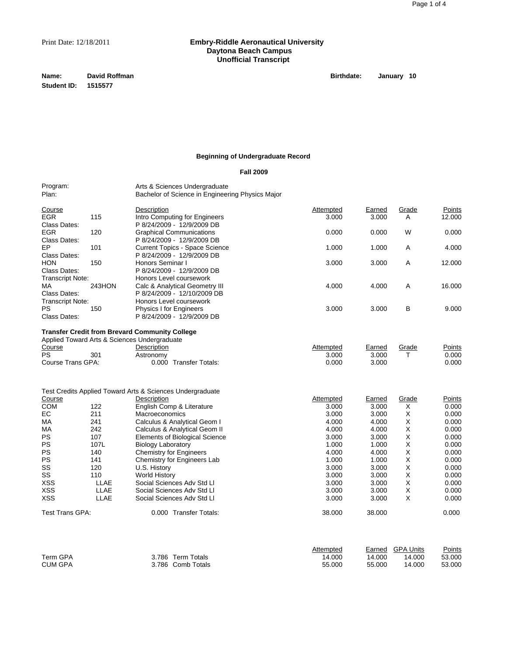# Print Date: 12/18/2011 **Embry-Riddle Aeronautical University Daytona Beach Campus Unofficial Transcript**

**Name: David Roffman Birthdate:** January 10 **Student ID: 1515577**

# **Beginning of Undergraduate Record**

## **Fall 2009**

Program: <br>
Plan: Plan: Bachelor of Science in Engineer Bachelor of Science in Engineering Physics Major

| Course                  |        | Description                           | Attempted | Earned | Grade | Points |
|-------------------------|--------|---------------------------------------|-----------|--------|-------|--------|
| <b>EGR</b>              | 115    | Intro Computing for Engineers         | 3.000     | 3.000  | A     | 12.000 |
| Class Dates:            |        | P 8/24/2009 - 12/9/2009 DB            |           |        |       |        |
| <b>EGR</b>              | 120    | <b>Graphical Communications</b>       | 0.000     | 0.000  | W     | 0.000  |
| Class Dates:            |        | P 8/24/2009 - 12/9/2009 DB            |           |        |       |        |
| EP.                     | 101    | <b>Current Topics - Space Science</b> | 1.000     | 1.000  | Α     | 4.000  |
| Class Dates:            |        | P 8/24/2009 - 12/9/2009 DB            |           |        |       |        |
| <b>HON</b>              | 150    | Honors Seminar I                      | 3.000     | 3.000  | Α     | 12.000 |
| Class Dates:            |        | P 8/24/2009 - 12/9/2009 DB            |           |        |       |        |
| <b>Transcript Note:</b> |        | Honors Level coursework               |           |        |       |        |
| MA                      | 243HON | Calc & Analytical Geometry III        | 4.000     | 4.000  | Α     | 16.000 |
| Class Dates:            |        | P 8/24/2009 - 12/10/2009 DB           |           |        |       |        |
| <b>Transcript Note:</b> |        | Honors Level coursework               |           |        |       |        |
| PS.                     | 150    | <b>Physics I for Engineers</b>        | 3.000     | 3.000  | в     | 9.000  |
| Class Dates:            |        | P 8/24/2009 - 12/9/2009 DB            |           |        |       |        |

#### **Transfer Credit from Brevard Community College**

|           |                   | Applied Toward Arts & Sciences Undergraduate |                        |           |        |       |        |
|-----------|-------------------|----------------------------------------------|------------------------|-----------|--------|-------|--------|
| Course    |                   | Description                                  |                        | Attempted | Earned | Grade | Points |
| <b>PS</b> | 301               | Astronomy                                    |                        | 3.000     | 3.000  |       | 0.000  |
|           | Course Trans GPA: |                                              | 0.000 Transfer Totals: | 0.000     | 3.000  |       | 0.000  |

|                 |             | Test Credits Applied Toward Arts & Sciences Undergraduate |           |        |       |        |
|-----------------|-------------|-----------------------------------------------------------|-----------|--------|-------|--------|
| Course          |             | Description                                               | Attempted | Earned | Grade | Points |
| <b>COM</b>      | 122         | English Comp & Literature                                 | 3.000     | 3.000  | X     | 0.000  |
| EC.             | 211         | <b>Macroeconomics</b>                                     | 3.000     | 3.000  | X     | 0.000  |
| МA              | 241         | Calculus & Analytical Geom I                              | 4.000     | 4.000  | х     | 0.000  |
| МA              | 242         | Calculus & Analytical Geom II                             | 4.000     | 4.000  | X     | 0.000  |
| <b>PS</b>       | 107         | <b>Elements of Biological Science</b>                     | 3.000     | 3.000  | X     | 0.000  |
| <b>PS</b>       | 107L        | <b>Biology Laboratory</b>                                 | 1.000     | 1.000  | X     | 0.000  |
| <b>PS</b>       | 140         | <b>Chemistry for Engineers</b>                            | 4.000     | 4.000  | X     | 0.000  |
| <b>PS</b>       | 141         | Chemistry for Engineers Lab                               | 1.000     | 1.000  | X     | 0.000  |
| SS              | 120         | U.S. History                                              | 3.000     | 3.000  | X     | 0.000  |
| SS              | 110         | World History                                             | 3.000     | 3.000  | X     | 0.000  |
| <b>XSS</b>      | <b>LLAE</b> | Social Sciences Adv Std Ll                                | 3.000     | 3.000  | х     | 0.000  |
| <b>XSS</b>      | LLAE        | Social Sciences Adv Std Ll                                | 3.000     | 3.000  | X     | 0.000  |
| <b>XSS</b>      | LLAE        | Social Sciences Adv Std Ll                                | 3.000     | 3.000  | X     | 0.000  |
| Test Trans GPA: |             | <b>Transfer Totals:</b><br>0.000                          | 38,000    | 38.000 |       | 0.000  |

|                |                   | Attempted |        | Earned GPA Units | <u>Points</u> |
|----------------|-------------------|-----------|--------|------------------|---------------|
| Term GPA       | 3.786 Term Totals | 14.000    | 14.000 | 14.000           | 53.000        |
| <b>CUM GPA</b> | 3.786 Comb Totals | 55.000    | 55.000 | 14.000           | 53.000        |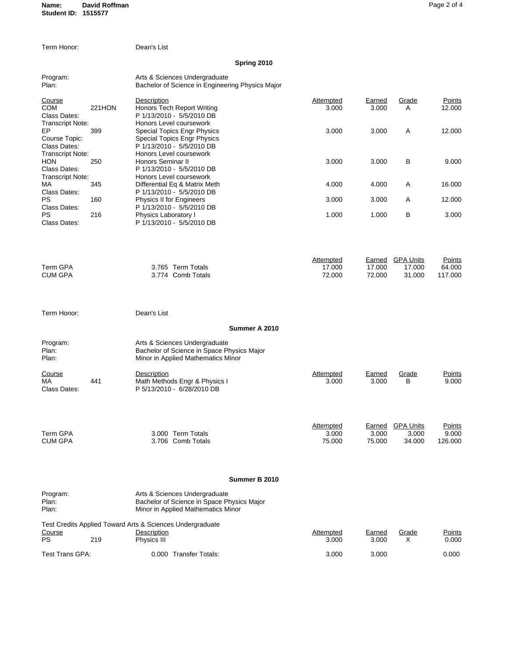| Term Honor:                                                    |               | Dean's List                                                                                                               |                                      |                            |                                      |                             |
|----------------------------------------------------------------|---------------|---------------------------------------------------------------------------------------------------------------------------|--------------------------------------|----------------------------|--------------------------------------|-----------------------------|
|                                                                |               | Spring 2010                                                                                                               |                                      |                            |                                      |                             |
| Program:<br>Plan:                                              |               | Arts & Sciences Undergraduate<br>Bachelor of Science in Engineering Physics Major                                         |                                      |                            |                                      |                             |
| Course<br><b>COM</b><br>Class Dates:                           | <b>221HON</b> | Description<br><b>Honors Tech Report Writing</b><br>P 1/13/2010 - 5/5/2010 DB                                             | <b>Attempted</b><br>3.000            | Earned<br>3.000            | Grade<br>A                           | Points<br>12.000            |
| <b>Transcript Note:</b><br>EP<br>Course Topic:<br>Class Dates: | 399           | Honors Level coursework<br><b>Special Topics Engr Physics</b><br>Special Topics Engr Physics<br>P 1/13/2010 - 5/5/2010 DB | 3.000                                | 3.000                      | Α                                    | 12.000                      |
| <b>Transcript Note:</b><br>HON<br>Class Dates:                 | 250           | Honors Level coursework<br>Honors Seminar II<br>P 1/13/2010 - 5/5/2010 DB                                                 | 3.000                                | 3.000                      | В                                    | 9.000                       |
| <b>Transcript Note:</b><br>МA<br>Class Dates:                  | 345           | Honors Level coursework<br>Differential Eq & Matrix Meth<br>P 1/13/2010 - 5/5/2010 DB                                     | 4.000                                | 4.000                      | Α                                    | 16.000                      |
| PS<br>Class Dates:                                             | 160           | Physics II for Engineers<br>P 1/13/2010 - 5/5/2010 DB                                                                     | 3.000                                | 3.000                      | A                                    | 12.000                      |
| PS<br>Class Dates:                                             | 216           | Physics Laboratory I<br>P 1/13/2010 - 5/5/2010 DB                                                                         | 1.000                                | 1.000                      | B                                    | 3.000                       |
| <b>Term GPA</b><br><b>CUM GPA</b>                              |               | 3.765 Term Totals<br>3.774 Comb Totals                                                                                    | <b>Attempted</b><br>17.000<br>72.000 | Earned<br>17.000<br>72.000 | <b>GPA Units</b><br>17.000<br>31.000 | Points<br>64.000<br>117.000 |
| Term Honor:                                                    |               | Dean's List                                                                                                               |                                      |                            |                                      |                             |
|                                                                |               | Summer A 2010                                                                                                             |                                      |                            |                                      |                             |
| Program:<br>Plan:<br>Plan:                                     |               | Arts & Sciences Undergraduate<br>Bachelor of Science in Space Physics Major<br>Minor in Applied Mathematics Minor         |                                      |                            |                                      |                             |
| Course<br>МA<br>Class Dates:                                   | 441           | Description<br>Math Methods Engr & Physics I<br>P 5/13/2010 - 6/28/2010 DB                                                | Attempted<br>3.000                   | Earned<br>3.000            | Grade<br>В                           | Points<br>9.000             |
| <b>Term GPA</b><br><b>CUM GPA</b>                              |               | 3.000 Term Totals<br>3.706 Comb Totals                                                                                    | <b>Attempted</b><br>3.000<br>75.000  | Earned<br>3.000<br>75.000  | <b>GPA Units</b><br>3.000<br>34.000  | Points<br>9.000<br>126.000  |
|                                                                |               | Summer B 2010                                                                                                             |                                      |                            |                                      |                             |
| Program:<br>Plan:<br>Plan:                                     |               | Arts & Sciences Undergraduate<br>Bachelor of Science in Space Physics Major<br>Minor in Applied Mathematics Minor         |                                      |                            |                                      |                             |
| Course                                                         |               | Test Credits Applied Toward Arts & Sciences Undergraduate<br>Description                                                  | <b>Attempted</b>                     | <b>Earned</b>              | Grade                                | Points                      |
| <b>PS</b>                                                      | 219           | Physics III                                                                                                               | 3.000                                | 3.000                      | X                                    | 0.000                       |
| Test Trans GPA:                                                |               | 0.000 Transfer Totals:                                                                                                    | 3.000                                | 3.000                      |                                      | 0.000                       |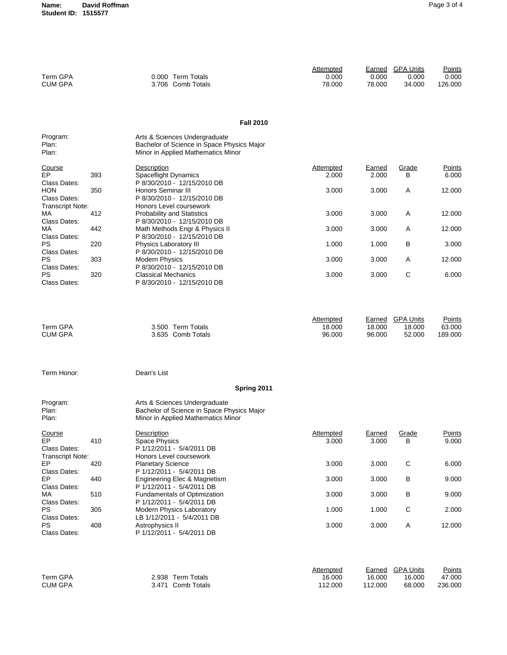**Name: David Roffman Student ID: 1515577**

| Term GPA<br><b>CUM GPA</b>                |     | 0.000 Term Totals<br>3.706 Comb Totals                                                                            | <b>Attempted</b><br>0.000<br>78.000  | 0.000<br>78.000            | Earned GPA Units<br>0.000<br>34.000  | Points<br>0.000<br>126.000  |
|-------------------------------------------|-----|-------------------------------------------------------------------------------------------------------------------|--------------------------------------|----------------------------|--------------------------------------|-----------------------------|
|                                           |     | <b>Fall 2010</b>                                                                                                  |                                      |                            |                                      |                             |
| Program:<br>Plan:<br>Plan:                |     | Arts & Sciences Undergraduate<br>Bachelor of Science in Space Physics Major<br>Minor in Applied Mathematics Minor |                                      |                            |                                      |                             |
| <u>Course</u><br>EP<br>Class Dates:       | 393 | Description<br><b>Spaceflight Dynamics</b><br>P 8/30/2010 - 12/15/2010 DB                                         | <b>Attempted</b><br>2.000            | Earned<br>2.000            | Grade<br>в                           | Points<br>6.000             |
| HON<br>Class Dates:<br>Transcript Note:   | 350 | Honors Seminar III<br>P 8/30/2010 - 12/15/2010 DB<br>Honors Level coursework                                      | 3.000                                | 3.000                      | Α                                    | 12.000                      |
| МA<br>Class Dates:                        | 412 | Probability and Statistics<br>P 8/30/2010 - 12/15/2010 DB                                                         | 3.000                                | 3.000                      | Α                                    | 12.000                      |
| МA<br>Class Dates:                        | 442 | Math Methods Engr & Physics II<br>P 8/30/2010 - 12/15/2010 DB                                                     | 3.000                                | 3.000                      | Α                                    | 12.000                      |
| PS                                        | 220 | Physics Laboratory III<br>P 8/30/2010 - 12/15/2010 DB                                                             | 1.000                                | 1.000                      | в                                    | 3.000                       |
| Class Dates:<br>PS                        | 303 | <b>Modern Physics</b>                                                                                             | 3.000                                | 3.000                      | A                                    | 12.000                      |
| Class Dates:<br>PS<br>Class Dates:        | 320 | P 8/30/2010 - 12/15/2010 DB<br><b>Classical Mechanics</b><br>P 8/30/2010 - 12/15/2010 DB                          | 3.000                                | 3.000                      | С                                    | 6.000                       |
| Term GPA<br><b>CUM GPA</b>                |     | 3.500 Term Totals<br>3.635 Comb Totals                                                                            | <b>Attempted</b><br>18.000<br>96.000 | Earned<br>18.000<br>96.000 | <b>GPA Units</b><br>18.000<br>52.000 | Points<br>63.000<br>189.000 |
| Term Honor:                               |     | Dean's List                                                                                                       |                                      |                            |                                      |                             |
|                                           |     | Spring 2011                                                                                                       |                                      |                            |                                      |                             |
| Program:<br>Plan:<br>Plan:                |     | Arts & Sciences Undergraduate<br>Bachelor of Science in Space Physics Major<br>Minor in Applied Mathematics Minor |                                      |                            |                                      |                             |
| Course<br>EP<br>Class Dates:              | 410 | Description<br><b>Space Physics</b><br>P 1/12/2011 - 5/4/2011 DB<br>Honors Level coursework                       | <b>Attempted</b><br>3.000            | <u>Earned</u><br>3.000     | Grade<br>В                           | Points<br>9.000             |
| <b>Transcript Note:</b><br>EP             | 420 | <b>Planetary Science</b>                                                                                          | 3.000                                | 3.000                      | С                                    | 6.000                       |
| Class Dates:<br>EP                        | 440 | P 1/12/2011 - 5/4/2011 DB<br>Engineering Elec & Magnetism                                                         | 3.000                                | 3.000                      | В                                    | 9.000                       |
| Class Dates:<br>МA                        | 510 | P 1/12/2011 - 5/4/2011 DB<br><b>Fundamentals of Optimization</b>                                                  | 3.000                                | 3.000                      | В                                    | 9.000                       |
| Class Dates:<br>PS                        | 305 | P 1/12/2011 - 5/4/2011 DB<br>Modern Physics Laboratory                                                            | 1.000                                | 1.000                      | С                                    | 2.000                       |
| Class Dates:<br><b>PS</b><br>Class Dates: | 408 | LB 1/12/2011 - 5/4/2011 DB<br>Astrophysics II<br>P 1/12/2011 - 5/4/2011 DB                                        | 3.000                                | 3.000                      | A                                    | 12.000                      |
|                                           |     |                                                                                                                   | Attempted                            |                            | Earned CDA Unite                     | <b>Dointe</b>               |

|                |                   | Attempted |         | Earned GPA Units | Points  |
|----------------|-------------------|-----------|---------|------------------|---------|
| Term GPA       | 2.938 Term Totals | 16.000    | 16.000  | 16.000           | 47.000  |
| <b>CUM GPA</b> | 3.471 Comb Totals | 112.000   | 112.000 | 68.000           | 236.000 |